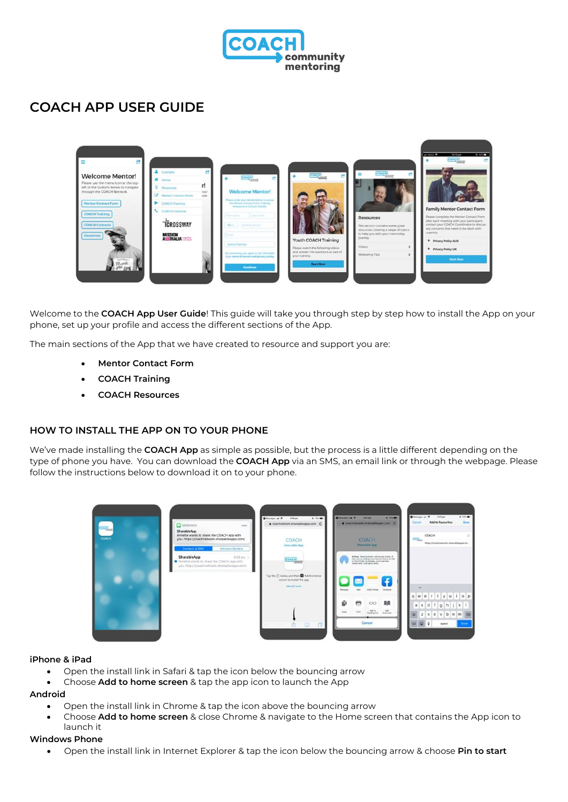

# **COACH APP USER GUIDE**



Welcome to the **COACH App User Guide**! This guide will take you through step by step how to install the App on your phone, set up your profile and access the different sections of the App.

The main sections of the App that we have created to resource and support you are:

- **Mentor Contact Form**
- **COACH Training**
- **COACH Resources**

# **HOW TO INSTALL THE APP ON TO YOUR PHONE**

We've made installing the **COACH App** as simple as possible, but the process is a little different depending on the type of phone you have. You can download the **COACH App** via an SMS, an email link or through the webpage. Please follow the instructions below to download it on to your phone.



#### **iPhone & iPad**

- Open the install link in Safari & tap the icon below the bouncing arrow
- Choose **Add to home screen** & tap the app icon to launch the App

#### **Android**

- Open the install link in Chrome & tap the icon above the bouncing arrow
- Choose **Add to home screen** & close Chrome & navigate to the Home screen that contains the App icon to launch it

#### **Windows Phone**

Open the install link in Internet Explorer & tap the icon below the bouncing arrow & choose **Pin to start**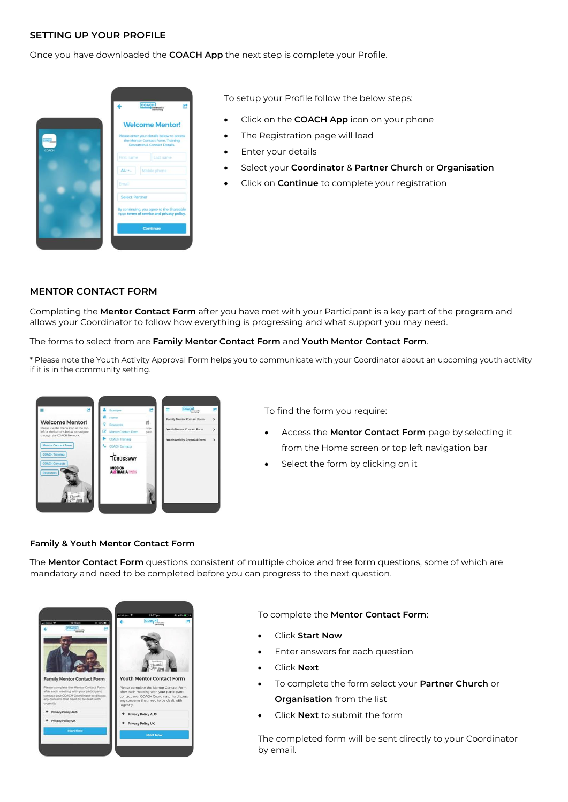# **SETTING UP YOUR PROFILE**

Once you have downloaded the **COACH App** the next step is complete your Profile.



To setup your Profile follow the below steps:

- Click on the **COACH App** icon on your phone
- The Registration page will load
- Enter your details
- Select your **Coordinator** & **Partner Church** or **Organisation**
- Click on **Continue** to complete your registration

## **MENTOR CONTACT FORM**

Completing the **Mentor Contact Form** after you have met with your Participant is a key part of the program and allows your Coordinator to follow how everything is progressing and what support you may need.

The forms to select from are **Family Mentor Contact Form** and **Youth Mentor Contact Form**.

\* Please note the Youth Activity Approval Form helps you to communicate with your Coordinator about an upcoming youth activity if it is in the community setting.



To find the form you require:

- Access the **Mentor Contact Form** page by selecting it from the Home screen or top left navigation bar
- Select the form by clicking on it

#### **Family & Youth Mentor Contact Form**

The **Mentor Contact Form** questions consistent of multiple choice and free form questions, some of which are mandatory and need to be completed before you can progress to the next question.



To complete the **Mentor Contact Form**:

- Click **Start Now**
- Enter answers for each question
- Click **Next**
- To complete the form select your **Partner Church** or **Organisation** from the list
- Click **Next** to submit the form

The completed form will be sent directly to your Coordinator by email.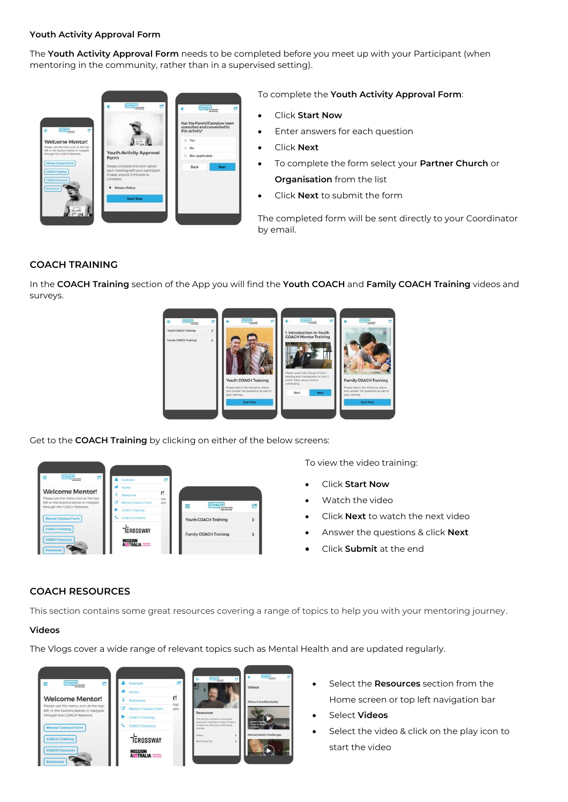#### **Youth Activity Approval Form**

The **Youth Activity Approval Form** needs to be completed before you meet up with your Participant (when mentoring in the community, rather than in a supervised setting).



To complete the **Youth Activity Approval Form**:

- Click **Start Now**
- Enter answers for each question
- Click **Next**
- To complete the form select your **Partner Church** or **Organisation** from the list
- Click **Next** to submit the form

The completed form will be sent directly to your Coordinator by email.

### **COACH TRAINING**

In the **COACH Training** section of the App you will find the **Youth COACH** and **Family COACH Training** videos and surveys.



Get to the **COACH Training** by clicking on either of the below screens:



To view the video training:

- Click **Start Now**
- Watch the video
- Click **Next** to watch the next video
- Answer the questions & click **Next**
- Click **Submit** at the end

# **COACH RESOURCES**

This section contains some great resources covering a range of topics to help you with your mentoring journey.

#### **Videos**

The Vlogs cover a wide range of relevant topics such as Mental Health and are updated regularly.



- Select the **Resources** section from the Home screen or top left navigation bar
- Select **Videos**
- Select the video & click on the play icon to start the video